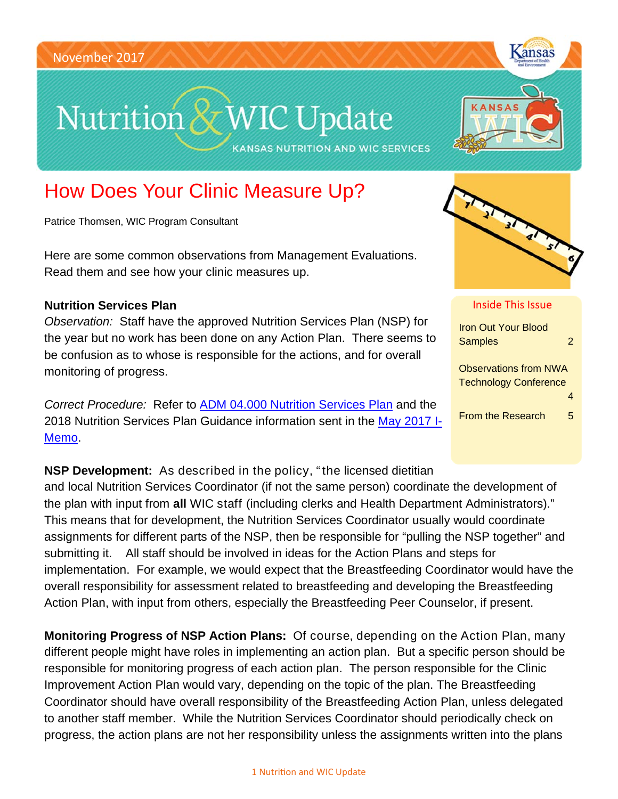# Nutrition & WIC Update

**KANSAS NUTRITION AND WIC SERVICES** 



Kansas

# How Does Your Clinic Measure Up?

Patrice Thomsen, WIC Program Consultant

Here are some common observations from Management Evaluations. Read them and see how your clinic measures up.

### **Nutrition Services Plan**

*Observation:* Staff have the approved Nutrition Services Plan (NSP) for the year but no work has been done on any Action Plan. There seems to be confusion as to whose is responsible for the actions, and for overall monitoring of progress.

*Correct Procedure:* Refer to ADM 04.000 Nutrition Services Plan and the 2018 Nutrition Services Plan Guidance information sent in the May 2017 I-Memo.



#### Inside This Issue

| <u>Iron Out Your Blood</u><br><b>Samples</b>                 | 2 |
|--------------------------------------------------------------|---|
| <b>Observations from NWA</b><br><b>Technology Conference</b> |   |
| <b>From the Research</b>                                     | 5 |

**NSP Development:** As described in the policy, " the licensed dietitian and local Nutrition Services Coordinator (if not the same person) coordinate the development of the plan with input from **all** WIC staff (including clerks and Health Department Administrators)." This means that for development, the Nutrition Services Coordinator usually would coordinate assignments for different parts of the NSP, then be responsible for "pulling the NSP together" and submitting it. All staff should be involved in ideas for the Action Plans and steps for implementation. For example, we would expect that the Breastfeeding Coordinator would have the overall responsibility for assessment related to breastfeeding and developing the Breastfeeding Action Plan, with input from others, especially the Breastfeeding Peer Counselor, if present.

**Monitoring Progress of NSP Action Plans:** Of course, depending on the Action Plan, many different people might have roles in implementing an action plan. But a specific person should be responsible for monitoring progress of each action plan. The person responsible for the Clinic Improvement Action Plan would vary, depending on the topic of the plan. The Breastfeeding Coordinator should have overall responsibility of the Breastfeeding Action Plan, unless delegated to another staff member. While the Nutrition Services Coordinator should periodically check on progress, the action plans are not her responsibility unless the assignments written into the plans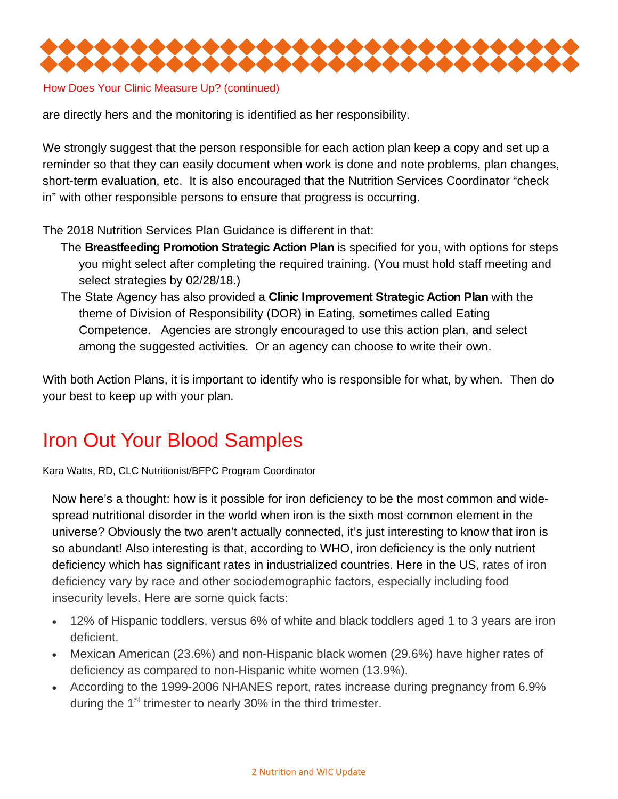

How Does Your Clinic Measure Up? (continued)

are directly hers and the monitoring is identified as her responsibility.

We strongly suggest that the person responsible for each action plan keep a copy and set up a reminder so that they can easily document when work is done and note problems, plan changes, short-term evaluation, etc. It is also encouraged that the Nutrition Services Coordinator "check in" with other responsible persons to ensure that progress is occurring.

The 2018 Nutrition Services Plan Guidance is different in that:

- The **Breastfeeding Promotion Strategic Action Plan** is specified for you, with options for steps you might select after completing the required training. (You must hold staff meeting and select strategies by 02/28/18.)
- The State Agency has also provided a **Clinic Improvement Strategic Action Plan** with the theme of Division of Responsibility (DOR) in Eating, sometimes called Eating Competence. Agencies are strongly encouraged to use this action plan, and select among the suggested activities. Or an agency can choose to write their own.

With both Action Plans, it is important to identify who is responsible for what, by when. Then do your best to keep up with your plan.

## Iron Out Your Blood Samples

Kara Watts, RD, CLC Nutritionist/BFPC Program Coordinator

Now here's a thought: how is it possible for iron deficiency to be the most common and widespread nutritional disorder in the world when iron is the sixth most common element in the universe? Obviously the two aren't actually connected, it's just interesting to know that iron is so abundant! Also interesting is that, according to WHO, iron deficiency is the only nutrient deficiency which has significant rates in industrialized countries. Here in the US, rates of iron deficiency vary by race and other sociodemographic factors, especially including food insecurity levels. Here are some quick facts:

- 12% of Hispanic toddlers, versus 6% of white and black toddlers aged 1 to 3 years are iron deficient.
- Mexican American (23.6%) and non-Hispanic black women (29.6%) have higher rates of deficiency as compared to non-Hispanic white women (13.9%).
- According to the 1999-2006 NHANES report, rates increase during pregnancy from 6.9% during the 1<sup>st</sup> trimester to nearly 30% in the third trimester.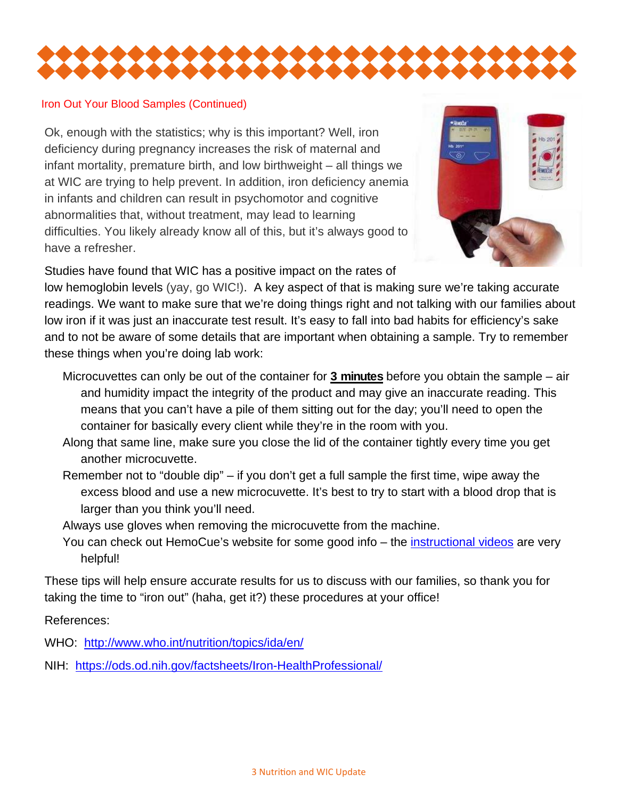

#### Iron Out Your Blood Samples (Continued)

Ok, enough with the statistics; why is this important? Well, iron deficiency during pregnancy increases the risk of maternal and infant mortality, premature birth, and low birthweight – all things we at WIC are trying to help prevent. In addition, iron deficiency anemia in infants and children can result in psychomotor and cognitive abnormalities that, without treatment, may lead to learning difficulties. You likely already know all of this, but it's always good to have a refresher.



Studies have found that WIC has a positive impact on the rates of

low hemoglobin levels (yay, go WIC!). A key aspect of that is making sure we're taking accurate readings. We want to make sure that we're doing things right and not talking with our families about low iron if it was just an inaccurate test result. It's easy to fall into bad habits for efficiency's sake and to not be aware of some details that are important when obtaining a sample. Try to remember these things when you're doing lab work:

- Microcuvettes can only be out of the container for **3 minutes** before you obtain the sample air and humidity impact the integrity of the product and may give an inaccurate reading. This means that you can't have a pile of them sitting out for the day; you'll need to open the container for basically every client while they're in the room with you.
- Along that same line, make sure you close the lid of the container tightly every time you get another microcuvette.
- Remember not to "double dip" if you don't get a full sample the first time, wipe away the excess blood and use a new microcuvette. It's best to try to start with a blood drop that is larger than you think you'll need.
- Always use gloves when removing the microcuvette from the machine.
- You can check out HemoCue's website for some good info the *instructional videos* are very helpful!

These tips will help ensure accurate results for us to discuss with our families, so thank you for taking the time to "iron out" (haha, get it?) these procedures at your office!

References:

WHO: http://www.who.int/nutrition/topics/ida/en/

NIH: https://ods.od.nih.gov/factsheets/Iron-HealthProfessional/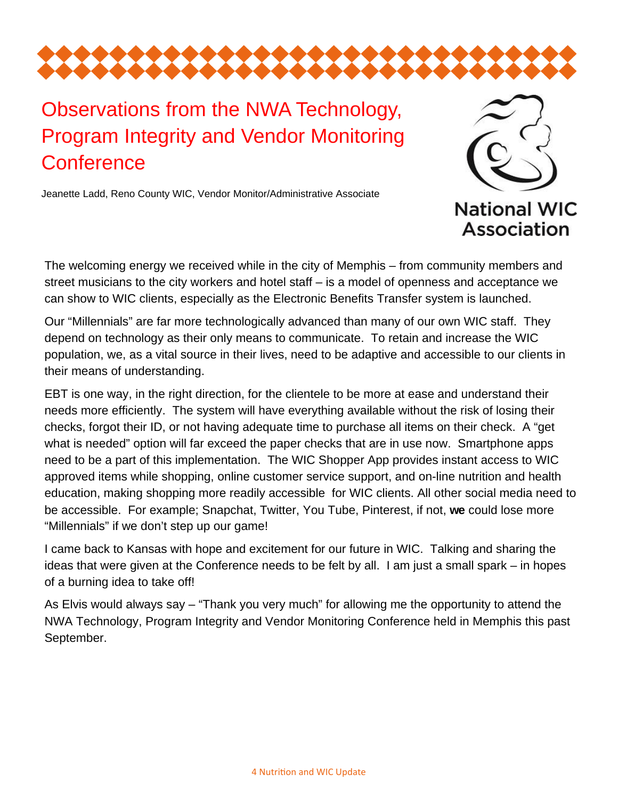

## Observations from the NWA Technology, Program Integrity and Vendor Monitoring **Conference**

Jeanette Ladd, Reno County WIC, Vendor Monitor/Administrative Associate



The welcoming energy we received while in the city of Memphis – from community members and street musicians to the city workers and hotel staff – is a model of openness and acceptance we can show to WIC clients, especially as the Electronic Benefits Transfer system is launched.

Our "Millennials" are far more technologically advanced than many of our own WIC staff. They depend on technology as their only means to communicate. To retain and increase the WIC population, we, as a vital source in their lives, need to be adaptive and accessible to our clients in their means of understanding.

EBT is one way, in the right direction, for the clientele to be more at ease and understand their needs more efficiently. The system will have everything available without the risk of losing their checks, forgot their ID, or not having adequate time to purchase all items on their check. A "get what is needed" option will far exceed the paper checks that are in use now. Smartphone apps need to be a part of this implementation. The WIC Shopper App provides instant access to WIC approved items while shopping, online customer service support, and on-line nutrition and health education, making shopping more readily accessible for WIC clients. All other social media need to be accessible. For example; Snapchat, Twitter, You Tube, Pinterest, if not, **we** could lose more "Millennials" if we don't step up our game!

I came back to Kansas with hope and excitement for our future in WIC. Talking and sharing the ideas that were given at the Conference needs to be felt by all. I am just a small spark – in hopes of a burning idea to take off!

As Elvis would always say – "Thank you very much" for allowing me the opportunity to attend the NWA Technology, Program Integrity and Vendor Monitoring Conference held in Memphis this past September.